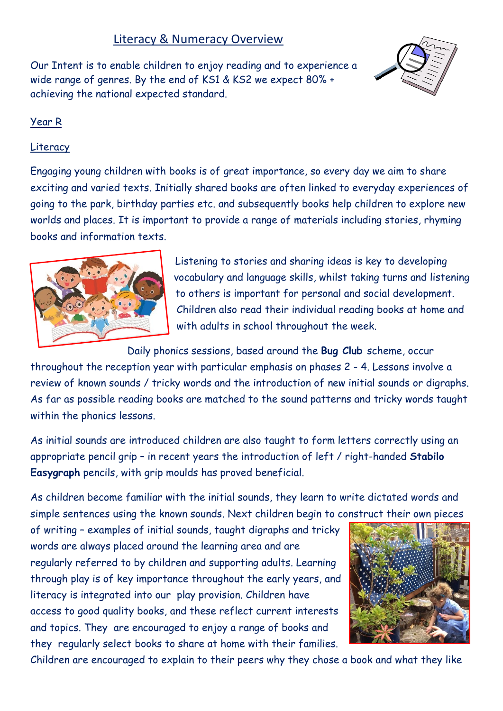# Literacy & Numeracy Overview

Our Intent is to enable children to enjoy reading and to experience a wide range of genres. By the end of KS1 & KS2 we expect 80% + achieving the national expected standard.



## Year R

### Literacy

Engaging young children with books is of great importance, so every day we aim to share exciting and varied texts. Initially shared books are often linked to everyday experiences of going to the park, birthday parties etc. and subsequently books help children to explore new worlds and places. It is important to provide a range of materials including stories, rhyming books and information texts.



Listening to stories and sharing ideas is key to developing vocabulary and language skills, whilst taking turns and listening to others is important for personal and social development. Children also read their individual reading books at home and with adults in school throughout the week.

Daily phonics sessions, based around the **Bug Club** scheme, occur

throughout the reception year with particular emphasis on phases 2 - 4. Lessons involve a review of known sounds / tricky words and the introduction of new initial sounds or digraphs. As far as possible reading books are matched to the sound patterns and tricky words taught within the phonics lessons.

As initial sounds are introduced children are also taught to form letters correctly using an appropriate pencil grip – in recent years the introduction of left / right-handed **Stabilo Easygraph** pencils, with grip moulds has proved beneficial.

As children become familiar with the initial sounds, they learn to write dictated words and simple sentences using the known sounds. Next children begin to construct their own pieces

of writing – examples of initial sounds, taught digraphs and tricky words are always placed around the learning area and are regularly referred to by children and supporting adults. Learning through play is of key importance throughout the early years, and literacy is integrated into our play provision. Children have access to good quality books, and these reflect current interests and topics. They are encouraged to enjoy a range of books and they regularly select books to share at home with their families.



Children are encouraged to explain to their peers why they chose a book and what they like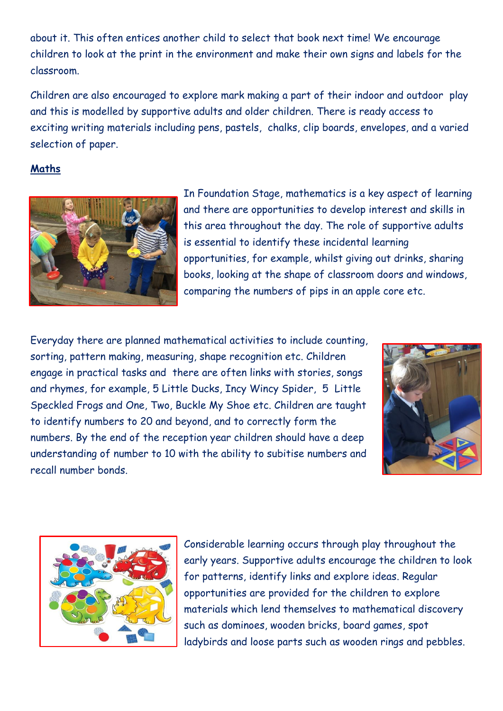about it. This often entices another child to select that book next time! We encourage children to look at the print in the environment and make their own signs and labels for the classroom.

Children are also encouraged to explore mark making a part of their indoor and outdoor play and this is modelled by supportive adults and older children. There is ready access to exciting writing materials including pens, pastels, chalks, clip boards, envelopes, and a varied selection of paper.

## **Maths**



In Foundation Stage, mathematics is a key aspect of learning and there are opportunities to develop interest and skills in this area throughout the day. The role of supportive adults is essential to identify these incidental learning opportunities, for example, whilst giving out drinks, sharing books, looking at the shape of classroom doors and windows, comparing the numbers of pips in an apple core etc.

Everyday there are planned mathematical activities to include counting, sorting, pattern making, measuring, shape recognition etc. Children engage in practical tasks and there are often links with stories, songs and rhymes, for example, 5 Little Ducks, Incy Wincy Spider, 5 Little Speckled Frogs and One, Two, Buckle My Shoe etc. Children are taught to identify numbers to 20 and beyond, and to correctly form the numbers. By the end of the reception year children should have a deep understanding of number to 10 with the ability to subitise numbers and recall number bonds.





Considerable learning occurs through play throughout the early years. Supportive adults encourage the children to look for patterns, identify links and explore ideas. Regular opportunities are provided for the children to explore materials which lend themselves to mathematical discovery such as dominoes, wooden bricks, board games, spot ladybirds and loose parts such as wooden rings and pebbles.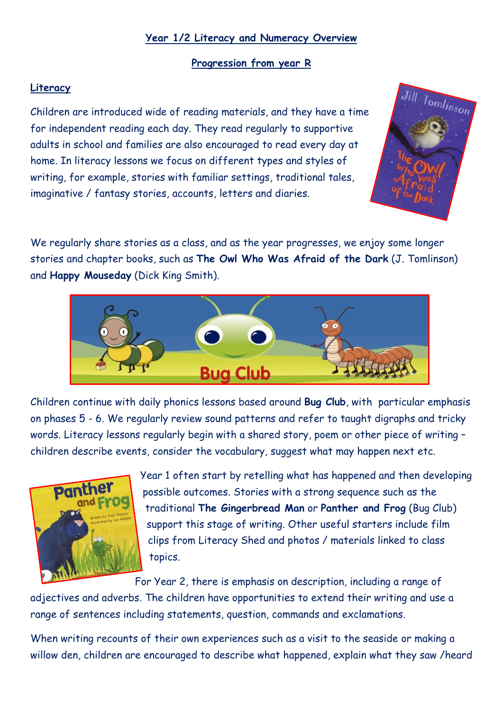### **Year 1/2 Literacy and Numeracy Overview**

### **Progression from year R**

### **Literacy**

Children are introduced wide of reading materials, and they have a time for independent reading each day. They read regularly to supportive adults in school and families are also encouraged to read every day at home. In literacy lessons we focus on different types and styles of writing, for example, stories with familiar settings, traditional tales, imaginative / fantasy stories, accounts, letters and diaries.



We regularly share stories as a class, and as the year progresses, we enjoy some longer stories and chapter books, such as **The Owl Who Was Afraid of the Dark** (J. Tomlinson) and **Happy Mouseday** (Dick King Smith).



Children continue with daily phonics lessons based around **Bug Club**, with particular emphasis on phases 5 - 6. We regularly review sound patterns and refer to taught digraphs and tricky words. Literacy lessons regularly begin with a shared story, poem or other piece of writing – children describe events, consider the vocabulary, suggest what may happen next etc.



Year 1 often start by retelling what has happened and then developing possible outcomes. Stories with a strong sequence such as the traditional **The Gingerbread Man** or **Panther and Frog** (Bug Club) support this stage of writing. Other useful starters include film clips from Literacy Shed and photos / materials linked to class topics.

For Year 2, there is emphasis on description, including a range of

adjectives and adverbs. The children have opportunities to extend their writing and use a range of sentences including statements, question, commands and exclamations.

When writing recounts of their own experiences such as a visit to the seaside or making a willow den, children are encouraged to describe what happened, explain what they saw /heard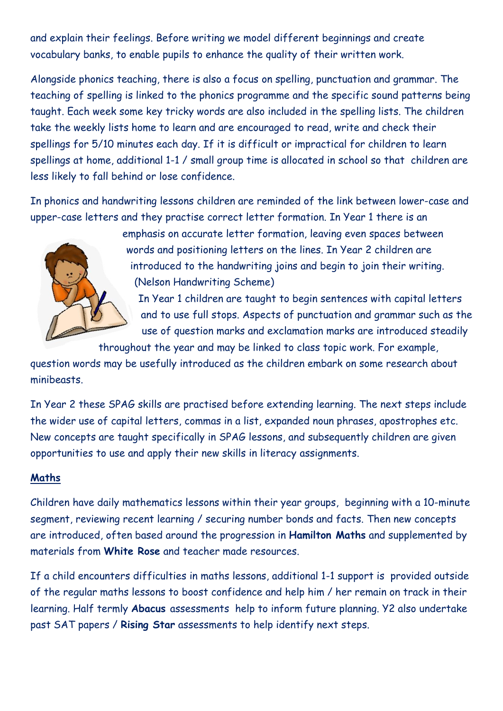and explain their feelings. Before writing we model different beginnings and create vocabulary banks, to enable pupils to enhance the quality of their written work.

Alongside phonics teaching, there is also a focus on spelling, punctuation and grammar. The teaching of spelling is linked to the phonics programme and the specific sound patterns being taught. Each week some key tricky words are also included in the spelling lists. The children take the weekly lists home to learn and are encouraged to read, write and check their spellings for 5/10 minutes each day. If it is difficult or impractical for children to learn spellings at home, additional 1-1 / small group time is allocated in school so that children are less likely to fall behind or lose confidence.

In phonics and handwriting lessons children are reminded of the link between lower-case and upper-case letters and they practise correct letter formation. In Year 1 there is an

> emphasis on accurate letter formation, leaving even spaces between words and positioning letters on the lines. In Year 2 children are introduced to the handwriting joins and begin to join their writing. (Nelson Handwriting Scheme)

In Year 1 children are taught to begin sentences with capital letters and to use full stops. Aspects of punctuation and grammar such as the use of question marks and exclamation marks are introduced steadily

throughout the year and may be linked to class topic work. For example,

question words may be usefully introduced as the children embark on some research about minibeasts.

In Year 2 these SPAG skills are practised before extending learning. The next steps include the wider use of capital letters, commas in a list, expanded noun phrases, apostrophes etc. New concepts are taught specifically in SPAG lessons, and subsequently children are given opportunities to use and apply their new skills in literacy assignments.

#### **Maths**

Children have daily mathematics lessons within their year groups, beginning with a 10-minute segment, reviewing recent learning / securing number bonds and facts. Then new concepts are introduced, often based around the progression in **Hamilton Maths** and supplemented by materials from **White Rose** and teacher made resources.

If a child encounters difficulties in maths lessons, additional 1-1 support is provided outside of the regular maths lessons to boost confidence and help him / her remain on track in their learning. Half termly **Abacus** assessments help to inform future planning. Y2 also undertake past SAT papers / **Rising Star** assessments to help identify next steps.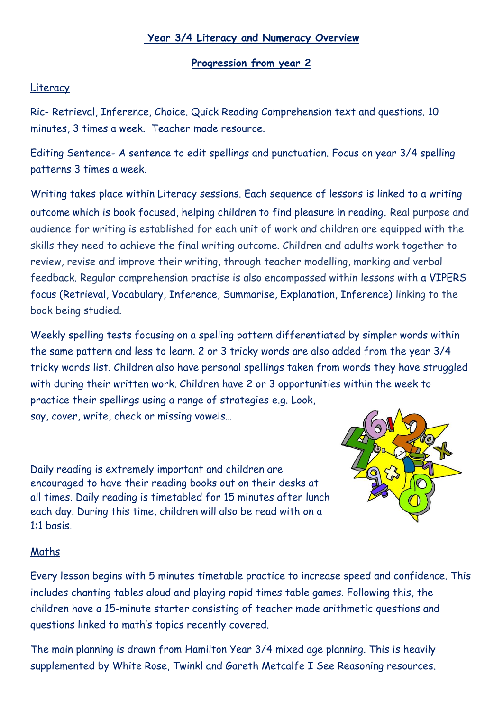### **Year 3/4 Literacy and Numeracy Overview**

#### **Progression from year 2**

#### Literacy

Ric- Retrieval, Inference, Choice. Quick Reading Comprehension text and questions. 10 minutes, 3 times a week. Teacher made resource.

Editing Sentence- A sentence to edit spellings and punctuation. Focus on year 3/4 spelling patterns 3 times a week.

Writing takes place within Literacy sessions. Each sequence of lessons is linked to a writing outcome which is book focused, helping children to find pleasure in reading. Real purpose and audience for writing is established for each unit of work and children are equipped with the skills they need to achieve the final writing outcome. Children and adults work together to review, revise and improve their writing, through teacher modelling, marking and verbal feedback. Regular comprehension practise is also encompassed within lessons with a VIPERS focus (Retrieval, Vocabulary, Inference, Summarise, Explanation, Inference) linking to the book being studied.

Weekly spelling tests focusing on a spelling pattern differentiated by simpler words within the same pattern and less to learn. 2 or 3 tricky words are also added from the year 3/4 tricky words list. Children also have personal spellings taken from words they have struggled with during their written work. Children have 2 or 3 opportunities within the week to practice their spellings using a range of strategies e.g. Look, say, cover, write, check or missing vowels…

Daily reading is extremely important and children are encouraged to have their reading books out on their desks at all times. Daily reading is timetabled for 15 minutes after lunch each day. During this time, children will also be read with on a 1:1 basis.



#### Maths

Every lesson begins with 5 minutes timetable practice to increase speed and confidence. This includes chanting tables aloud and playing rapid times table games. Following this, the children have a 15-minute starter consisting of teacher made arithmetic questions and questions linked to math's topics recently covered.

The main planning is drawn from Hamilton Year 3/4 mixed age planning. This is heavily supplemented by White Rose, Twinkl and Gareth Metcalfe I See Reasoning resources.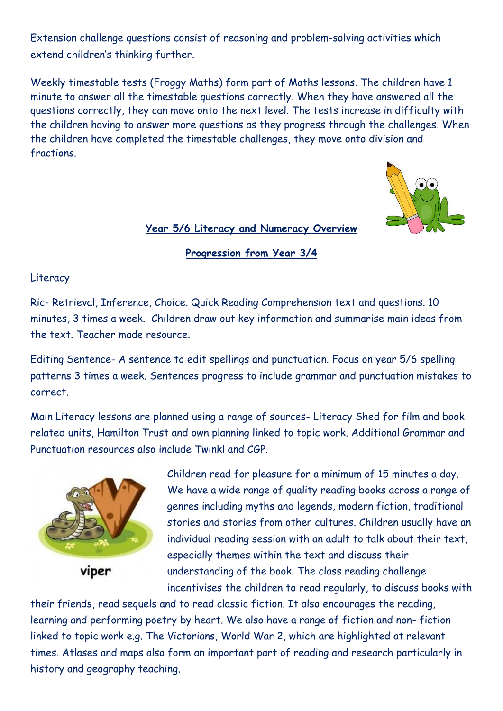Extension challenge questions consist of reasoning and problem-solving activities which extend children's thinking further.

Weekly timestable tests (Froggy Maths) form part of Maths lessons. The children have 1 minute to answer all the timestable questions correctly. When they have answered all the questions correctly, they can move onto the next level. The tests increase in difficulty with the children having to answer more questions as they progress through the challenges. When the children have completed the timestable challenges, they move onto division and fractions.



#### **Year 5/6 Literacy and Numeracy Overview**

**Progression from Year 3/4**

#### Literacy

Ric- Retrieval, Inference, Choice. Quick Reading Comprehension text and questions. 10 minutes, 3 times a week. Children draw out key information and summarise main ideas from the text. Teacher made resource.

Editing Sentence- A sentence to edit spellings and punctuation. Focus on year 5/6 spelling patterns 3 times a week. Sentences progress to include grammar and punctuation mistakes to correct.

Main Literacy lessons are planned using a range of sources- Literacy Shed for film and book related units, Hamilton Trust and own planning linked to topic work. Additional Grammar and Punctuation resources also include Twinkl and CGP.



viper

Children read for pleasure for a minimum of 15 minutes a day. We have a wide range of quality reading books across a range of genres including myths and legends, modern fiction, traditional stories and stories from other cultures. Children usually have an individual reading session with an adult to talk about their text, especially themes within the text and discuss their understanding of the book. The class reading challenge incentivises the children to read regularly, to discuss books with

their friends, read sequels and to read classic fiction. It also encourages the reading, learning and performing poetry by heart. We also have a range of fiction and non- fiction linked to topic work e.g. The Victorians, World War 2, which are highlighted at relevant times. Atlases and maps also form an important part of reading and research particularly in history and geography teaching.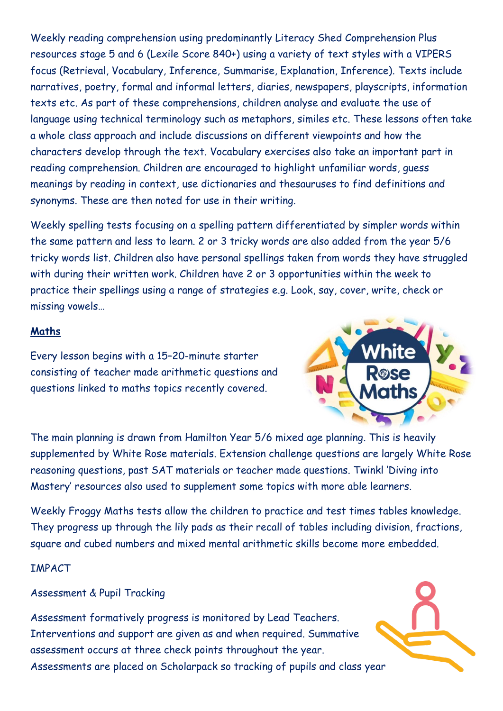Weekly reading comprehension using predominantly Literacy Shed Comprehension Plus resources stage 5 and 6 (Lexile Score 840+) using a variety of text styles with a VIPERS focus (Retrieval, Vocabulary, Inference, Summarise, Explanation, Inference). Texts include narratives, poetry, formal and informal letters, diaries, newspapers, playscripts, information texts etc. As part of these comprehensions, children analyse and evaluate the use of language using technical terminology such as metaphors, similes etc. These lessons often take a whole class approach and include discussions on different viewpoints and how the characters develop through the text. Vocabulary exercises also take an important part in reading comprehension. Children are encouraged to highlight unfamiliar words, guess meanings by reading in context, use dictionaries and thesauruses to find definitions and synonyms. These are then noted for use in their writing.

Weekly spelling tests focusing on a spelling pattern differentiated by simpler words within the same pattern and less to learn. 2 or 3 tricky words are also added from the year 5/6 tricky words list. Children also have personal spellings taken from words they have struggled with during their written work. Children have 2 or 3 opportunities within the week to practice their spellings using a range of strategies e.g. Look, say, cover, write, check or missing vowels…

### **Maths**

Every lesson begins with a 15–20-minute starter consisting of teacher made arithmetic questions and questions linked to maths topics recently covered.



The main planning is drawn from Hamilton Year 5/6 mixed age planning. This is heavily supplemented by White Rose materials. Extension challenge questions are largely White Rose reasoning questions, past SAT materials or teacher made questions. Twinkl 'Diving into Mastery' resources also used to supplement some topics with more able learners.

Weekly Froggy Maths tests allow the children to practice and test times tables knowledge. They progress up through the lily pads as their recall of tables including division, fractions, square and cubed numbers and mixed mental arithmetic skills become more embedded.

IMPACT

Assessment & Pupil Tracking

Assessment formatively progress is monitored by Lead Teachers. Interventions and support are given as and when required. Summative assessment occurs at three check points throughout the year. Assessments are placed on Scholarpack so tracking of pupils and class year